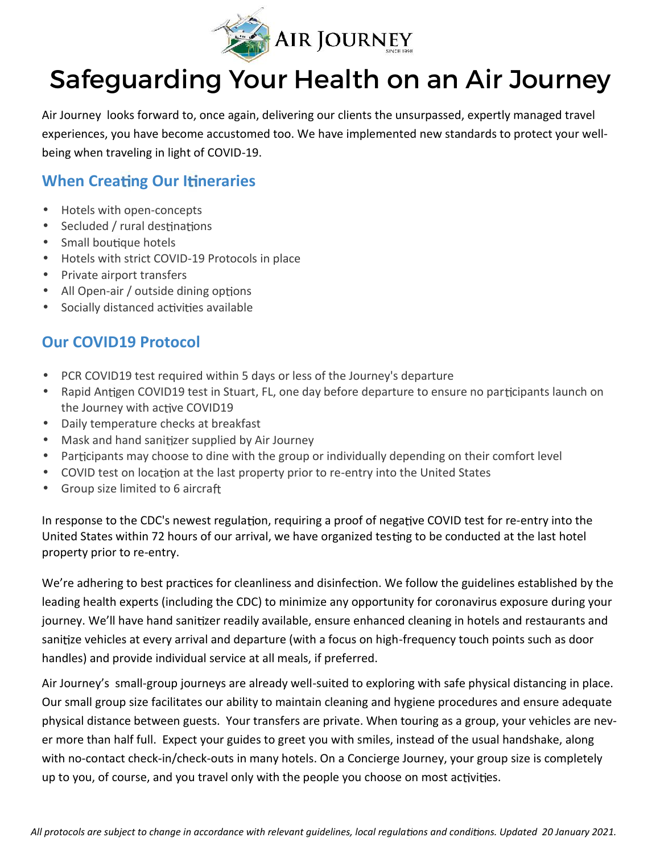

## Safeguarding Your Health on an Air Journey

Air Journey looks forward to, once again, delivering our clients the unsurpassed, expertly managed travel experiences, you have become accustomed too. We have implemented new standards to protect your wellbeing when traveling in light of COVID-19.

## **When Creating Our Itineraries**

- Hotels with open-concepts
- $\bullet$  Secluded / rural destinations
- Small boutique hotels
- Hotels with strict COVID-19 Protocols in place
- Private airport transfers
- All Open-air / outside dining options
- Socially distanced activities available

## **Our COVID19 Protocol**

- PCR COVID19 test required within 5 days or less of the Journey's departure
- Rapid Antigen COVID19 test in Stuart, FL, one day before departure to ensure no participants launch on the Journey with active COVID19
- Daily temperature checks at breakfast
- Mask and hand sanitizer supplied by Air Journey
- Participants may choose to dine with the group or individually depending on their comfort level
- COVID test on location at the last property prior to re-entry into the United States
- Group size limited to 6 aircraft

In response to the CDC's newest regulation, requiring a proof of negative COVID test for re-entry into the United States within 72 hours of our arrival, we have organized testing to be conducted at the last hotel property prior to re-entry.

We're adhering to best practices for cleanliness and disinfection. We follow the guidelines established by the leading health experts (including the CDC) to minimize any opportunity for coronavirus exposure during your journey. We'll have hand sanitizer readily available, ensure enhanced cleaning in hotels and restaurants and sanitize vehicles at every arrival and departure (with a focus on high-frequency touch points such as door handles) and provide individual service at all meals, if preferred.

Air Journey's small-group journeys are already well-suited to exploring with safe physical distancing in place. Our small group size facilitates our ability to maintain cleaning and hygiene procedures and ensure adequate physical distance between guests. Your transfers are private. When touring as a group, your vehicles are never more than half full. Expect your guides to greet you with smiles, instead of the usual handshake, along with no-contact check-in/check-outs in many hotels. On a Concierge Journey, your group size is completely up to you, of course, and you travel only with the people you choose on most activities.